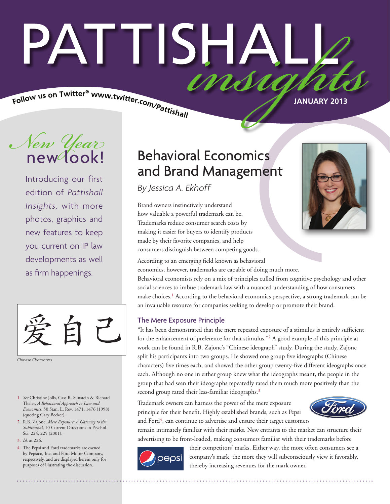# PATTISHA imsu

Follow us on Twitter® www.twitter.com/Pattishall

**JANUARY 2013**

*New Year* new look!

Introducing our first edition of *Pattishall Insights,* with more photos, graphics and new features to keep you current on IP law developments as well as firm happenings.



*Chinese Characters*

- 1. *See* Christine Jolls, Cass R. Sunstein & Richard Thaler, *A Behavioral Approach to Law and Economics*, 50 Stan. L. Rev. 1471, 1476 (1998) (quoting Gary Becker).
- 2. R.B. Zajonc, *Mere Exposure: A Gateway to the Subliminal*, 10 Current Directions in Psychol. Sci. 224, 225 (2001).
- 3. *Id.* at 226.
- 4. The Pepsi and Ford trademarks are owned by Pepsico, Inc. and Ford Motor Company, respectively, and are displayed herein only for purposes of illustrating the discussion.

### Behavioral Economics and Brand Management

*By Jessica A. Ekhoff*

Brand owners instinctively understand how valuable a powerful trademark can be. Trademarks reduce consumer search costs by making it easier for buyers to identify products made by their favorite companies, and help consumers distinguish between competing goods.



According to an emerging field known as behavioral economics, however, trademarks are capable of doing much more.

Behavioral economists rely on a mix of principles culled from cognitive psychology and other social sciences to imbue trademark law with a nuanced understanding of how consumers make choices.1 According to the behavioral economics perspective, a strong trademark can be an invaluable resource for companies seeking to develop or promote their brand.

#### The Mere Exposure Principle

"It has been demonstrated that the mere repeated exposure of a stimulus is entirely sufficient for the enhancement of preference for that stimulus."2 A good example of this principle at work can be found in R.B. Zajonc's "Chinese ideograph" study. During the study, Zajonc split his participants into two groups. He showed one group five ideographs (Chinese characters) five times each, and showed the other group twenty-five different ideographs once each. Although no one in either group knew what the ideographs meant, the people in the group that had seen their ideographs repeatedly rated them much more positively than the second group rated their less-familiar ideographs.<sup>3</sup>

Trademark owners can harness the power of the mere exposure principle for their benefit. Highly established brands, such as Pepsi and Ford $4$ , can continue to advertise and ensure their target customers



remain intimately familiar with their marks. New entrants to the market can structure their advertising to be front-loaded, making consumers familiar with their trademarks before



their competitors' marks. Either way, the more often consumers see a company's mark, the more they will subconsciously view it favorably, thereby increasing revenues for the mark owner.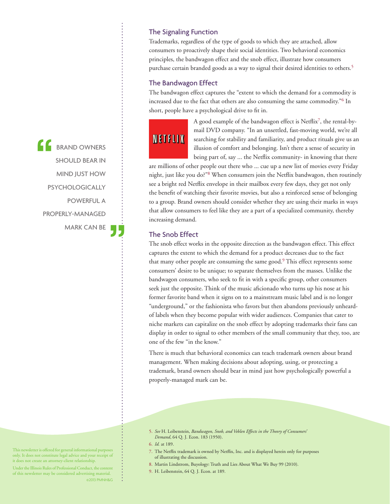**CONTRACTE BRAND OWNERS** SHOULD BEAR IN MIND JUST HOW PSYCHOLOGICALLY POWERFUL A PROPERLY-MANAGED MARK CAN BE

#### The Signaling Function

Trademarks, regardless of the type of goods to which they are attached, allow consumers to proactively shape their social identities. Two behavioral economics principles, the bandwagon effect and the snob effect, illustrate how consumers purchase certain branded goods as a way to signal their desired identities to others.<sup>5</sup>

#### The Bandwagon Effect

The bandwagon effect captures the "extent to which the demand for a commodity is increased due to the fact that others are also consuming the same commodity."<sup>6</sup> In short, people have a psychological drive to fit in.

# **NETFLIX**

A good example of the bandwagon effect is Netflix7, the rental-bymail DVD company. "In an unsettled, fast-moving world, we're all searching for stability and familiarity, and product rituals give us an illusion of comfort and belonging. Isn't there a sense of security in being part of, say ... the Netflix community- in knowing that there

are millions of other people out there who ... cue up a new list of movies every Friday night, just like you do?"8 When consumers join the Netflix bandwagon, then routinely see a bright red Netflix envelope in their mailbox every few days, they get not only the benefit of watching their favorite movies, but also a reinforced sense of belonging to a group. Brand owners should consider whether they are using their marks in ways that allow consumers to feel like they are a part of a specialized community, thereby increasing demand.

#### The Snob Effect

The snob effect works in the opposite direction as the bandwagon effect. This effect captures the extent to which the demand for a product decreases due to the fact that many other people are consuming the same good.<sup>9</sup> This effect represents some consumers' desire to be unique; to separate themselves from the masses. Unlike the bandwagon consumers, who seek to fit in with a specific group, other consumers seek just the opposite. Think of the music aficionado who turns up his nose at his former favorite band when it signs on to a mainstream music label and is no longer "underground," or the fashionista who favors but then abandons previously unheardof labels when they become popular with wider audiences. Companies that cater to niche markets can capitalize on the snob effect by adopting trademarks their fans can display in order to signal to other members of the small community that they, too, are one of the few "in the know."

There is much that behavioral economics can teach trademark owners about brand management. When making decisions about adopting, using, or protecting a trademark, brand owners should bear in mind just how psychologically powerful a properly-managed mark can be.

- 7. The Netflix trademark is owned by Netflix, Inc. and is displayed herein only for purposes of illustrating the discussion.
- 8. Martin Lindstrom, Buyology: Truth and Lies About What We Buy 99 (2010).
- 9. H. Leibenstein, 64 Q. J. Econ. at 189.

This newsletter is offered for general informational purposes only. It does not constitute legal advice and your receipt of it does not create an attorney-client relationship.

Under the Illinois Rules of Professional Conduct, the content of this newsletter may be considered advertising material. ©2013 PMNH&G

<sup>5.</sup> *See* H. Leibenstein, *Bandwagon, Snob, and Veblen Effects in the Theory of Consumers' Demand*, 64 Q. J. Econ. 183 (1950).

<sup>6.</sup> *Id.* at 189.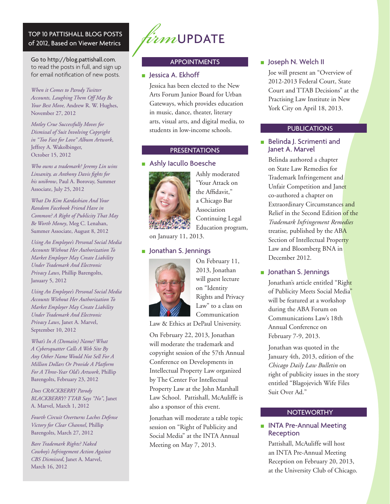#### TOP 10 PATTISHALL BLOG POSTS of 2012, Based on Viewer Metrics

Go to http://blog.pattishall.com, to read the posts in full, and sign up for email notification of new posts.

*When it Comes to Parody Twitter Accounts, Laughing Them Off May Be Your Best Move,* Andrew R. W. Hughes, November 27, 2012

*Motley Crue Successfully Moves for Dismissal of Suit Involving Copyright in "Too Fast for Love" Album Artwork*, Jeffrey A. Wakolbinger, October 15, 2012

*Who owns a trademark? Jeremy Lin wins Linsanity, as Anthony Davis fights for his unibrow*, Paul A. Borovay, Summer Associate, July 25, 2012

*What Do Kim Kardashian And Your Random Facebook Friend Have in Common? A Right of Publicity That May Be Worth Money*, Meg C. Lenahan, Summer Associate, August 8, 2012

*Using An Employee's Personal Social Media Accounts Without Her Authorization To Market Employer May Create Liability Under Trademark And Electronic Privacy Laws*, Phillip Barengolts, January 5, 2012

*Using An Employee's Personal Social Media Accounts Without Her Authorization To Market Employer May Create Liability Under Trademark And Electronic Privacy Laws*, Janet A. Marvel, September 10, 2012

*What's In A (Domain) Name? What A Cybersquatter Calls A Web Site By Any Other Name Would Not Sell For A Million Dollars Or Provide A Platform For A Three-Year Old's Artwork*, Phillip Barengolts, February 23, 2012

*Does CRACKBERRY Parody BLACKBERRY? TTAB Says "No"*, Janet A. Marvel, March 1, 2012

*Fourth Circuit Overturns Laches Defense Victory for Clear Channel*, Phillip Barengolts, March 27, 2012

*Bare Trademark Rights? Naked Cowboy's Infringement Action Against CBS Dismissed*, Janet A. Marvel, March 16, 2012



#### APPOINTMENTS

#### ■ Jessica A. Ekhoff

Jessica has been elected to the New Arts Forum Junior Board for Urban Gateways, which provides education in music, dance, theater, literary arts, visual arts, and digital media, to students in low-income schools.

#### PRESENTATIONS

■ Ashly Iacullo Boesche



Ashly moderated "Your Attack on the Affidavit," a Chicago Bar Association Continuing Legal Education program,

on January 11, 2013.

#### ■ Jonathan S. Jennings



On February 11, 2013, Jonathan will guest lecture on "Identity Rights and Privacy Law" to a class on Communication

Law & Ethics at DePaul University.

On February 22, 2013, Jonathan will moderate the trademark and copyright session of the 57th Annual Conference on Developments in Intellectual Property Law organized by The Center For Intellectual Property Law at the John Marshall Law School. Pattishall, McAuliffe is also a sponsor of this event.

Jonathan will moderate a table topic session on "Right of Publicity and Social Media" at the INTA Annual Meeting on May 7, 2013.

#### ■ Joseph N. Welch II

Joe will present an "Overview of 2012-2013 Federal Court, State Court and TTAB Decisions" at the Practising Law Institute in New York City on April 18, 2013.

#### **PUBLICATIONS**

#### ■ Belinda J. Scrimenti and Janet A. Marvel

Belinda authored a chapter on State Law Remedies for Trademark Infringement and Unfair Competition and Janet co-authored a chapter on Extraordinary Circumstances and Relief in the Second Edition of the *Trademark Infringement Remedies*  treatise*,* published by the ABA Section of Intellectual Property Law and Bloomberg BNA in December 2012.

■ Jonathan S. Jennings

Jonathan's article entitled "Right of Publicity Meets Social Media" will be featured at a workshop during the ABA Forum on Communications Law's 18th Annual Conference on February 7-9, 2013.

Jonathan was quoted in the January 4th, 2013, edition of the *Chicago Daily Law Bulletin* on right of publicity issues in the story entitled "Blagojevich Wife Files Suit Over Ad."

#### **NOTEWORTHY**

## ■ INTA Pre-Annual Meeting<br>Reception

Pattishall, McAuliffe will host an INTA Pre-Annual Meeting Reception on February 20, 2013, at the University Club of Chicago.